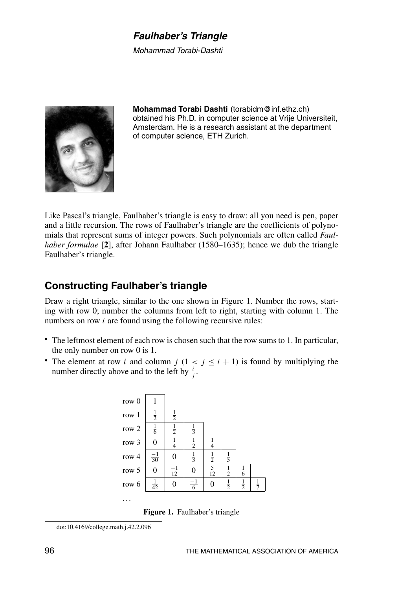## **Faulhaber's Triangle**

Mohammad Torabi-Dashti



Mohammad Torabi Dashti (torabidm@inf.ethz.ch) obtained his Ph.D. in computer science at Vrije Universiteit, Amsterdam. He is a research assistant at the department of computer science, ETH Zurich.

Like Pascal's triangle, Faulhaber's triangle is easy to draw: all you need is pen, paper and a little recursion. The rows of Faulhaber's triangle are the coefficients of polynomials that represent sums of integer powers. Such polynomials are often called *Faul*haber formulae [2], after Johann Faulhaber (1580–1635); hence we dub the triangle Faulhaber's triangle.

# **Constructing Faulhaber's triangle**

Draw a right triangle, similar to the one shown in Figure 1. Number the rows, starting with row 0; number the columns from left to right, starting with column 1. The numbers on row  $i$  are found using the following recursive rules:

- The leftmost element of each row is chosen such that the row sums to 1. In particular, the only number on row  $0$  is 1.
- The element at row i and column  $j$   $(1 < j \le i + 1)$  is found by multiplying the number directly above and to the left by  $\frac{i}{i}$ .



**Figure 1.** Faulhaber's triangle

doi:10.4169/college.math.j.42.2.096